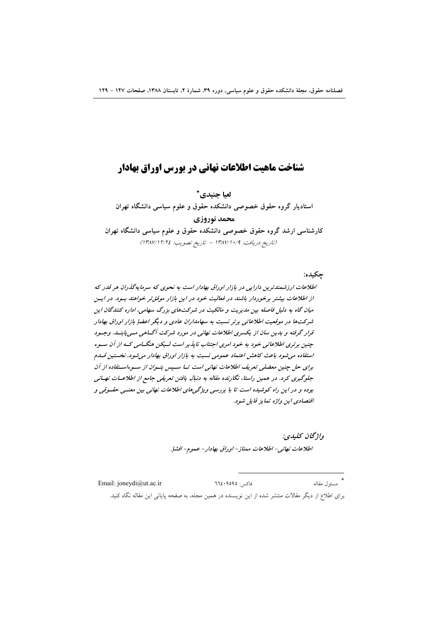# شناخت ماهیت اطلاعات نهانی در بورس اوراق بهادار

لعيا جنيدي\* استادیار گروه حقوق خصوصی دانشکده حقوق و علوم سیاسی دانشگاه تهران محمد نوروزي کارشناسی ارشد گروه حقوق خصوصی دانشکده حقوق و علوم سیاسی دانشگاه تهران (تاريخ دريافت: ١٣٨٧/١٠/٩ - تاريخ تصويب: ١٣٨٧/١٢/٢٤)

## جكىدە:

اطلاعات ارزشمندترین دارایی در بازار اوراق بهادار است به نحوی که سرمایهگذران هر قدر که از اطلاعات بیشتر برخوردار باشند در فعالیت خود در این بازار موفق تر خواهند بود. در ایسن میان گاه به دلیل فاصله بین مدیریت و مالکیت در شرکتهای بزرگ سهامی، اداره کنندگان این شرکتها در موقعیت اطلاعاتی برتر نسبت به سهامداران عادی و دیگر اعضا بازار اوراق بهادار قرار گرفته و بدین سان از یکسری اطلاعات نهانی در مورد شرکت آگیاهی مسی پابنید. وجسود چنین برتری اطلاعاتی خود به خود امری اجتناب ناپذیر است لـیکن هنگـامی کـه از آن سـوء استفاده می شود باعث کاهش اعتماد عمومی نسبت به بازار اوراق بهادار می شود. نخستین قسام برای حل چنین معضلی تعریف اطلاعات نهانی است تسا سسیس بتسوان از سسوءاستفاده از آن جلوگیری کرد. در همین راستا، نگارنده مقاله به دنبال یافتن تعریفی جامع از اطلاعـات نهـانی بوده و در این راه کوشیده است تا با بررسی ویژگیهای اطلاعات نهانی بین معنسی حقسوقی و اقتصادی این واژه تمایز قابل شود.

> واژىخان كىلىدى: اطلاعات نهاني- اطلاعات ممتاز- اوراق بهادار- عموم- افشا.

\*<br>مسئول مقاله Email: joneydi@ut.ac.ir فاكس: ٩٥٩٥؛ ٦٦٤ برای اطلاع از دیگر مقالات منتشر شده از این نویسنده در همین مجله، به صفحه پایانی این مقاله نگاه کنید.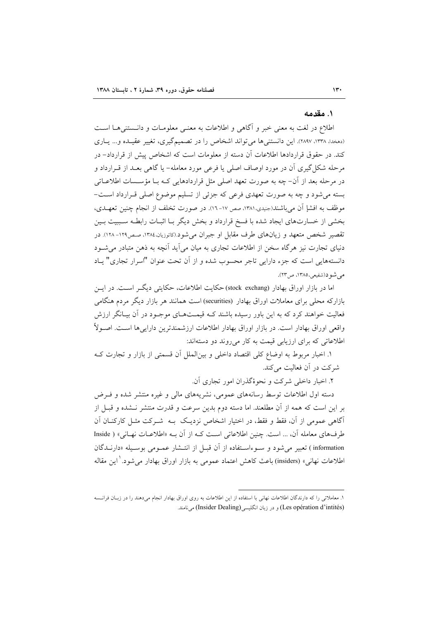#### ۱. مقدمه

اطلاع در لغت به معنى خبر و آگاهى و اطلاعات به معنىي معلومـات و دانـستنىهـا اسـت (دهخدا، ۱۳۳۸، ۲۸۹۷). این دانستنی ها می تواند اشخاص را در تصمیم گیری، تغییر عقیده و... یاری کند. در حقوق قراردادها اطلاعات آن دسته از معلومات است که اشخاص پیش از قرارداد- در مرحله شکل گیری آن در مورد اوصاف اصلی یا فرعی مورد معامله- یا گاهی بعـد از قــرارداد و در مرحله بعد از آن–چه به صورت تعهد اصلی مثل قراردادهایی کـه بـا مؤسـسات اطلاعــاتی بسته میشود و چه به صورت تعهدی فرعی که جزئی از تسلیم موضوع اصلی قـرارداد اسـت-موظف به افشإ آن می باشند(جنیدی،۱۳۸۱، صص ۱۷–۱۱). در صورت تخلف از انجام چنین تعهــدی، بخشی از خسارتهای ایجاد شده با فسخ قرارداد و بخش دیگر بـا اثبـات رابطـه سـببیت بـین تقصیر شخص متعهد و زیانهای طرف مقابل او جبران میشود.(کاتوزیان،۱۳۸٤، صص۱۲۹- ۱۲۸). در دنیای تجارت نیز هرگاه سخن از اطلاعات تجاری به میان می آید آنچه به ذهن متبادر می شـود دانستههایی است که جزء دارایی تاجر محسوب شده و از آن تحت عنوان "اسرار تجاری" یـاد می شو د(شفیعی،۱۳۸۵، ص۲۳).

اما در بازار اوراق بهادار (stock exchang)حکایت اطلاعات، حکایتی دیگـر اسـت. در ایــن بازارکه محلی برای معاملات اوراق بهادار (securities) است همانند هر بازار دیگر مردم هنگامی فعالیت خواهند کرد که به این باور رسیده باشند کـه قیمـتهـای موجـود در آن بیــانگر ارزش واقعی اوراق بهادار است. در بازار اوراق بهادار اطلاعات ارزشمندترین داراییها است. اصـولاً اطلاعاتی که برای ارزیابی قیمت به کار می روند دو دستهاند:

١. اخبار مربوط به اوضاع كلي اقتصاد داخلي و بين|لمللٍ أن قسمتي از بازار و تجارت كـه شرکت در آن فعالیت میکند.

۲. اخبار داخلی شرکت و نحوهٔگذران امور تجاری آن.

دسته اول اطلاعات توسط رسانههای عمومی، نشریههای مالی و غیره منتشر شده و فـرض بر این است که همه از آن مطلعند. اما دسته دوم بدین سرعت و قدرت منتشر نــشده و قبــل از آگاهی عمومی از آن، فقط و فقط، در اختیار اشخاص نزدیـک بــه شــرکت مثــل کارکنــان آن طرفهاي معامله آن، ... است. چنين اطلاعاتي است كـه از آن بـه «اطلاعـات نهـاني» ( Inside information ) تعبير مي شود و سـوءاسـتفاده از آن قبـل از انتــشار عمـومي بوسـيله «دارنــدگان اطلاعات نهاني» (insiders) باعث كاهش اعتماد عمومي به بازار اوراق بهادار مي شود. ٰ اين مقاله

۱. معاملاتی را که دارندگان اطلاعات نهانی با استفاده از این اطلاعات به روی اوراق بهادار انجام میدهند را در زبـان فرانـسه (Les opération d'intités) و در زبان انگلیسی(Insider Dealing) می نامند.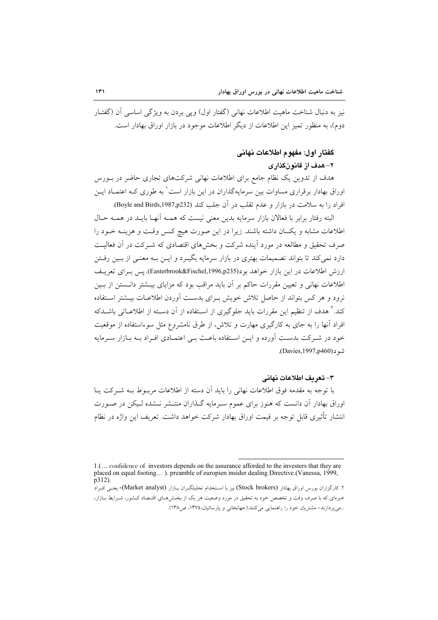نیز به دنبال شناخت ماهیت اطلاعات نهانی (گفتار اول) ویی بردن به ویژگی اساسی آن (گفتـار دوم)، به منظور تمیز این اطلاعات از دیگر اطلاعات موجود در بازار اوراق بهادار است.

## گفتار اول: مفهوم اطلاعات نهانی

## ۲- هدف از قانونگذاری

هدف از تدوین یک نظام جامع برای اطلاعات نهانی شرکتهای تجاری حاضر در بـورس اوراق بهادار برقراری مساوات بین سرمایهگذاران در این بازار است` به طوری کـه اعتمــاد ایــن افراد را به سلامت در بازار و عدم تقلب در آن جلب کند (Boyle and Birds,1987,p232).

البته رفتار برابر با فعالان بازار سرمايه بدين معنى نيست كه همـه آنهـا بايــد در همـه حـال اطلاعات مشابه و يكسان داشته باشند. زيرا در اين صورت هيچ كس وقت و هزينـه خـود را صرف تحقیق و مطالعه در مورد آینده شرکت و بخشهای اقتصادی که شـرکت در آن فعالیـت دارد نمی کند تا بتواند تصمیمات بهتری در بازار سرمایه بگیـرد و ایــن بــه معنــی از بــین رفــتن ارزش اطلاعات در این بازار خواهد بو د(Easterbrook&Fischel,1996,p235). پس به ای تعریف اطلاعات نهانی و تعیین مقررات حاکم بر آن باید مراقب بود که مزایای بیــشتر دانــستن از بــین .<br>نرود و هر کس بتواند از حاصل تلاش خویش بـرای بدسـت آوردن اطلاعـات بیــشتر اســتفاده کند.<sup>۲</sup> هدف از تنظیم این مقررات باید جلوگیری از اسـتفاده از آن دسـته از اطلاعــاتی باشــدکه افراد آنها را به جای به کارگیری مهارت و تلاش، از طرق نامشروع مثل سوءاستفاده از موقعیت خود در شـرکت بدسـت آورده و ايـن اسـتفاده باعـث بـي اعتمـادي افـراد بـه بـازار سـرمايه شود (Davies, 1997, p460).

#### ٣- تعريف اطلاعات نهاني

با توجه به مقدمه فوق اطلاعات نهانی را باید آن دسته از اطلاعات مربـوط بـه شـرکت یـا اوراق بهادار آن دانست که هنوز برای عموم سـرمایه گـذاران منتـشر نـشده لـیکن در صـورت انتشار تأثیری قابل توجه بر قیمت اوراق بهادار شرکت خواهد داشت. تعریف این واژه در نظام

<sup>1.(...</sup> confidence of investors depends on the assurance afforded to the investers that they are placed on equal footing...). preamble of europien insider dealing Directive.(Vanessa, 1999,  $p312$ ).

۲. کارگزاران بورس اوراق بهادار (Stock brokers) نیز با استخدام تحلیلگران بیازار (Market analyst)- یعنبی افتراد خبرهای که با صرف وقت و تخصص خود به تحقیق در مورد وضعیت هر یک از بخش هـای اقتـصاد کـشور، شــرایط بــازار، ...می پردازند- مشتریان خود را راهنمایی میکنند.(جهانخانی و پارسائیان، ۱۳۷٤، ص۱۳۸).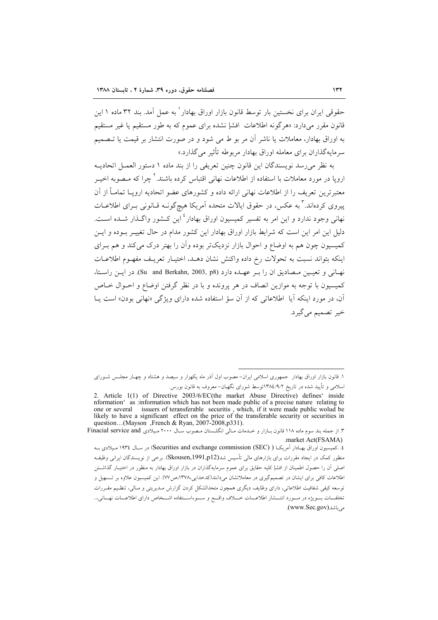حقوقی ایران برای نخستین بار توسط قانون بازار اوراق بهادار به عمل آمد. بند ۳۲ ماده ۱ این قانون مقرر می دارد: «هرگونه اطلاعات افشإ نشده برای عموم که به طور مستقیم یا غیر مستقیم به اوراق بهادار، معاملات یا ناشر آن مر بو ط می شود و در صورت انتشار بر قیمت یا تـصمیم سرمایه گذاران برای معامله اوراق بهادار مربوطه تأثیر می گذارد.»

به نظر می رسد نویسندگان این قانون چنین تعریفی را از بند ماده ۱ دستور العمـل اتحادیـه ارویا در مورد معاملات با استفاده از اطلاعات نهانی اقتباس کرده باشند.<sup>۲</sup> چرا که مـصوبه اخیــر معتبرترین تعریف را از اطلاعات نهانی ارائه داده و کشورهای عضو اتحادیه اروپــا تمامــاً از آن پیروی کردهاند. ٌ به عکس، در حقوق ایالات متحده اَمریکا هیچگونـه قـانونی بـرای اطلاعـات نهانی وجود ندارد و این امر به تفسیر کمیسیون اوراق بهادار<sup>؛</sup> این کـشور واگـذار شـده اسـت. دلیل این امر این است که شرایط بازار اوراق بهادار این کشور مدام در حال تغییــر بــوده و ایــن کمیسیون چون هم به اوضاع و احوال بازار نزدیکتر بوده وآن را بهتر درک می کند و هم بـرای اینکه بتواند نسبت به تحولات رخ داده واکنش نشان دهـد، اختیـار تعریـف مفهـوم اطلاعـات نهانی و تعیمین مسصادیق ان را بـر عهـده دارد (Su and Berkahn, 2003, p8). در ایــن راسـتا، كميسيون با توجه به موازين انصاف در هر پرونده و با در نظر گرفتن اوضاع و احـوال خـاص آن، در مورد اینکه آیا اطلاعاتی که از آن سؤ استفاده شده دارای ویژگی «نهانی بودن» است پــا خير تصميم مي گيرد.

۱. قانون بازار اوراق بهادار جمهوری اسلامی ایران- مصوب اول آذر ماه یکهزار و سیصد و هشتاد و چهـار مجلـس شـورای اسلامی و تأیید شده در تاریخ ۱۳۸٤/۹/۲توسط شورای نگهبان-معروف به قانون بورس.

<sup>2.</sup> Article 1(1) of Directive 2003/6/EC(the market Abuse Directive) defines inside nformation as : information which has not been made public of a precise nature relating to one or several issuers of teransferable securitis, which, if it were made public wolud be likely to have a significant effect on the price of the transferable security or securities in question...(Mayson, French & Ryan, 2007-2008, p331).

۳. از جمله بند سوم ماده ۱۱۸ قانون بـازار و خــدمات مـالی انگلــستان مــصوب ســال ۲۰۰۰ مـيلادی Finacial service and .market Act(FSAMA)

٤. کمیسیون اوراق بهـادار آمریکــا ( Securities and exchange commission (SEC)) در سـال ١٩٣٤ مـيلادى بــه منظور کمک در ایجاد مقررات برای بازارهای مالی تأسیس شد(Skousen,1991,p12). برخی از نویسندگان ایرانی وظیف اصلی آن را حصول اطمینان از افشإ کلیه حقایق برای عموم سرمایهگذاران در بازار اوراق بهادار به منظور در اختیـار گذاشــتن اطلاعات کافی برای ایشان در تصمیمگیری در معاملاتشان می(دانند(کدخدایی،۱۳۷۸،ص۷۷). این کمیسیون علاوه بر تـسهیل و توسعه كيفي شفافيت اطلاعاتي، داراي وظايف ديگري همچون متحدالشكل كردن گزارش مىديريتى و مىالي، تنظيم مقـررات تخلفــات بـــويژه در مـــورد انتـــشار اطلاعـــات خــــلاف واقـــع و ســـوءاســـتفاده اشـــخاص داراي اطلاعـــات نهـــاني... مي باشد(www.Sec.gov).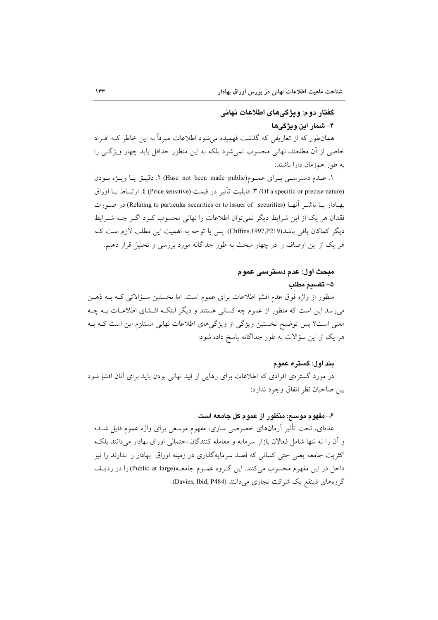## گفتار دوم: ویژگیهای اطلاعات نهانی ۴– شمار این ویژگی ها

همانطور که از تعاریفی که گذشت فهمیده می شود اطلاعات صرفاً به این خاطر کـه افـراد خاصی از آن مطلعند، نهانی محسوب نمی شود بلکه به این منظور حداقل باید چهار ویژگی را به طور همزمان دارا باشند:

۱. عــدم دسترســي بــراي عمــوم(Hase not been made public) ٢. دقيــق يــا ويـــرْه بــودن Of a specific or precise nature) ٣. قابليت تأثير در قيمت (Price sensitive) ٤. ارتبــاط بــا اوراق بهـادار يــا ناشــر أنهـا (Relating to particular securities or to issuer of securities) در صــورت فقدان هر یک از این شرایط دیگر نمی توان اطلاعات را نهانی محسوب کـرد اگـر چــه شــرایط ديگر كماكان باقي باشد(Chffins,1997,P219). پس با توجه به اهميت اين مطلب لازم است كـه هر یک از این اوصاف را در چهار مبحث به طور جداگانه مورد بررسی و تحلیل قرار دهیم.

## مبحث اول: عدم دسترسي عموم

#### ۵– تقسیم مطلب

منظور از واژه فوق عدم افشإ اطلاعات براي عموم است. اما نخستين سـؤالاتي كـه بـه ذهـن میرسد این است که منظور از عموم چه کسانی هستند و دیگر اینکـه افـشای اطلاعـات بـه چـه معنی است؟ پس توضیح نخستین ویژگی از ویژگیهای اطلاعات نهانی مستلزم این است کـه بـه هر یک از این سؤالات به طور جداگانه پاسخ داده شود:

#### بند اول: گستره عموم

در مورد گسترهی افرادی که اطلاعات برای رهایی از قید نهانی بودن باید برای آنان افشإ شود بين صاحبان نظر اتفاق وجود ندارد:

### ۶– مفهوم موسع: منظور از عموم کل جامعه است

عدهای، تحت تأثیر آرمانهای خصوصی سازی، مفهوم موسعی برای واژه عموم قایل شــده و آن را نه تنها شامل فعالان بازار سرمايه و معامله كنندگان احتمالي اوراق بهادار مي دانند بلكه اکثریت جامعه یعنی حتی کسانی که قصد سرمایهگذاری در زمینه اوراق بهادار را ندارند را نیز داخل در این مفهوم محسوب می کنند. این گروه عمـوم جامعـه(Public at large) را در ردیـف گروههای ذینفع یک شرکت تجاری می دانند (Davies, Ibid, P484).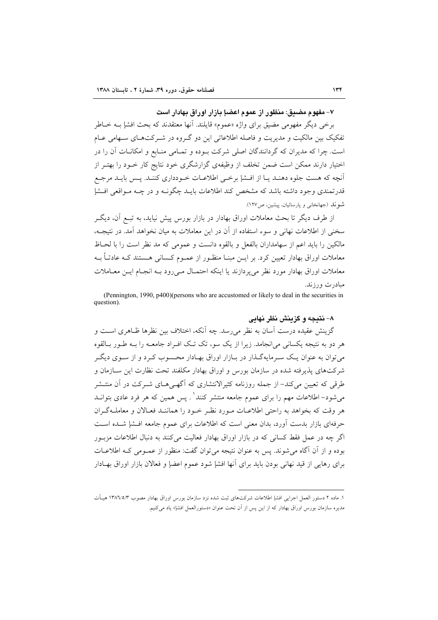### ٧– مفهوم مضيق: منظور. از عموم اعضاٍ بازار. اوراق پهادار. است

برخی دیگر مفهومی مضیق برای واژه «عموم» قایلند. آنها معتقدند که بحث افشإ بــه خــاطر تفکیک بین مالکیت و مدیریت و فاصله اطلاعاتی این دو گـروه در شـرکتهـای سـهامی عـام است. چرا که مدیران که گردانندگان اصلی شرکت بـوده و تمـامی منـابع و امکانــات آن را در اختیار دارند ممکن است ضمن تخلف از وظیفهی گزارشگری خود نتایج کار خــود را بهتــر از أنچه كه هست جلوه دهنـد يـا از افـشإ برخـي اطلاعـات خـودداري كننـد. پـس بايـد مرجـع قدرتمندی وجود داشته باشد که مشخص کند اطلاعات بایــد چگونــه و در چــه مــواقعی افــشإ شو لد (جهانخانی و پارسائیان، پیشین، ص١٢٧).

از طرف دیگر تا بحث معاملات اوراق بهادار در بازار بورس پیش نیاید، به تبـع آن، دیگـر سخنی از اطلاعات نهانی و سوء استفاده از آن در این معاملات به میان نخواهد آمد. در نتیجـه، مالكين را بايد اعم از سهامداران بالفعل و بالقوه دانست و عمومي كه مد نظر است را با لحــاظ معاملات اوراق بهادار تعیین کرد. بر ایـن مبنــا منظــور از عمــوم کــسانی هــستند کــه عادتــاً بــه معاملات اوراق بهادار مورد نظر مى يردازند يا اينكه احتمـال مـى رود بــه انجـام ايـن معــاملات مبادرت ورزند.

(Pennington, 1990, p400) (persons who are accustomed or likely to deal in the securities in question).

## ۸– نتیجه و گزینش نظر نهایی

گزینش عقیده درست آسان به نظر میرسد. چه آنکه، اختلاف بین نظرها ظـاهری اسـت و هر دو به نتیجه یکسانی می|نجامد. زیرا از یک سو، تک تـک افـراد جامعـه را بــه طـور بــالقوه می توان به عنوان یک سـرمایهگـذار در بـازار اوراق بهـادار محـسوب کـرد و از سـوی دیگـر شرکتهای پذیرفته شده در سازمان بورس و اوراق بهادار مکلفند تحت نظارت این ســازمان و طرقی که تعیین میکند– از جمله روزنامه کثیرالانتشاری که اگهـیمـای شـرکت در آن منتــشر می شود- اطلاعات مهم را برای عموم جامعه منتشر کنند' . پس همین که هر فرد عادی بتوانــد هر وقت که بخواهد به راحتی اطلاعیات میورد نظیر خیود را هماننید فعیالان و معاملیهگران حرفهای بازار بدست آورد، بدان معنی است که اطلاعات برای عموم جامعه افسا شده است اگر چه در عمل فقط کسانی که در بازار اوراق بهادار فعالیت می کنند به دنبال اطلاعات مزبـور بوده و از آن آگاه می شوند. پس به عنوان نتیجه می توان گفت: منظور از عمـومی کـه اطلاعـات برای رهایی از قید نهانی بودن باید برای آنها افشإ شود عموم اعضإ و فعالان بازار اوراق بهـادار

١. ماده ٢ دستور العمل اجرایی افشإ اطلاعات شرکتهای ثبت شده نزد سازمان بورس اوراق بهادار مصوب ١٣٨٦/٥/٣ هيأت مديره سازمان بورس اوراق بهادار كه از اين پس از آن تحت عنوان «دستورالعمل افشإ» ياد مى كنيم.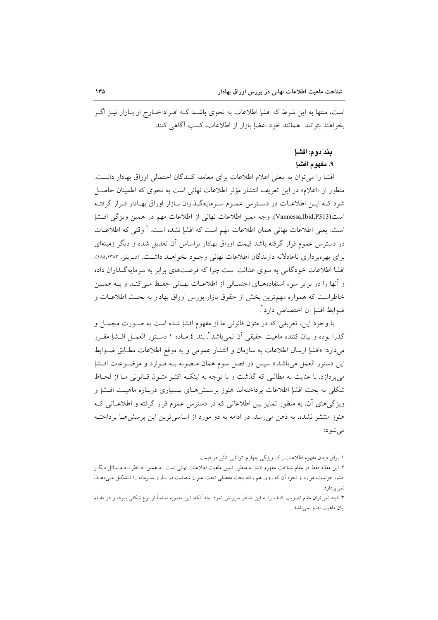است، منتها به این شرط که افشإ اطلاعات به نحوی باشـد کـه افـراد خـارج از بـازار نیــز اگــر يخواهند بتوانند همانند خود اعضاٍ بازار از اطلاعات، كسب آگاهي كنند.

#### بند دوم: افشإ

#### ٩. مفهوم افشإ

افشا را می توان به معنی اعلام اطلاعات برای معامله کنندگان احتمالی اوراق بهادار دانست. منظور از «اعلام» در این تعریف انتشار مؤثر اطلاعات نهانی است به نحوی که اطمینان حاصل شود کـه ايــن اطلاعــات در دســترس عمــوم ســرمايهگــذاران بــازار اوراق بهــادار قــرار گرفتــه است(Vannessa,Ibid,P313). وجه مميز اطلاعات نهاني از اطلاعات مهم در همين ويژگي افسا است. يعني اطلاعات نهاني همان اطلاعات مهم است كه افشإ نشده است. ` وقتي كه اطلاعــات در دسترس عموم قرار گرفته باشد قیمت اوراق بهادار براساس آن تعدیل شده و دیگر زمینهای برای بهرهبرداری ناعادلانه دارندگان اطلاعات نهانی وجـود نخواهــد داشــت. (شـریفی، ۱۲۸۳،۱۸۸). افشا اطلاعات خودگامی به سوی عدالت است چرا که فرصتهای برابر به سرمایهگذاران داده و آنها را در برابر سوء استفادههای احتمـالی از اطلاعـات نهـانی حفـظ مـی کنـد و بــه همـین خاطراست كه همواره مهمترين بخش از حقوق بازار بورس اوراق بهادار به بحث اطلاعـات و ضوابط افشإ آن اختصاص دارد ٌ.

با وجود این، تعریفی که در متون قانونی ما از مفهوم افشإ شده است به صـورت مجمـل و گذرا بوده و بیان کننده ماهیت حقیقی آن نمی,باشد<sup>۳</sup>. بند ٤ مـاده ١ دسـتور العمــل افــشاِ مقــرر مى دارد: «افشإ ارسال اطلاعات به سازمان و انتشار عمومى و به موقع اطلاعات مطـابق ضـوابط اين دستور العمل مي باشد.» سپس در فصل سوم همان مصوبه بـه مـوارد و موضـوعات افـشإ مى يردازد. با عنايت به مطالبي كه گذشت و با توجه به اينكـه اكثـر متـون قـانونى مـا از لحـاظ شکلی به بحث افشإ اطلاعات پرداختهاند هنوز پرستشهای بسیاری دربـاره ماهیـت افـشإ و ویژگیهای آن، به منظور تمایز بین اطلاعاتی که در دسترس عموم قرار گرفته و اطلاعـاتی کـه هنوز منتشر نشده، به ذهن می رسد. در ادامه به دو مورد از اساسی ترین این پرسش هـا پرداختــه مى شود:

۱. برای دیدن مفهوم اطلاعات ر.ک ویژگی چهارم: توانایی تأثیر در قیمت.

٢. اين مقاله فقط در مقام شناخت مفهوم افشإ به منظور تبيين ماهيت اطلاعات نهانى است. به همين خـاطر بــه مــسائل ديگــر افشإ، جزئیات، موارد و نحوه اَن که روی هم رفته بحث مفصلی تحت عنوان شفافیت در بـازار سـرمایه را تـشکیل مـیدهـد. نمی پر دازد.

۳. البته نمی توان مقام تصویب کننده را به این خاطر سرزنش نمود. چه آنکه، این مصوبه اساسأ از نوع شکلی بـوده و در مقـام بيان ماهيت افشإ نمىباشد.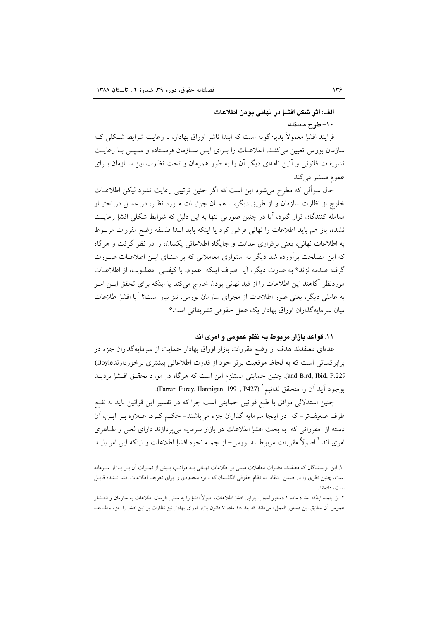## الف: اثر شكل افشاٍ در نهاني بودن اطلاعات

## ١٠- طرح مسئله

فرایند افشإ معمولاً بدین گونه است که ابتدا ناشر اوراق بهادار، با رعایت شرایط شکلی ک سازمان بورس تعیین می کنـد، اطلاعـات را بـرای ایــن ســازمان فرسـتاده و ســیس بـا رعایــت تشریفات قانونی و آئین نامهای دیگر آن را به طور همزمان و تحت نظارت این ســازمان بــرای عموم منتشر مي كند.

حال سوألي كه مطرح مي شود اين است كه اگر چنين ترتيبي رعايت نشود ليكن اطلاعــات خارج از نظارت سازمان و از طریق دیگر، با همـان جزئیـات مـورد نظـر، در عمـل در اختیـار معامله کنندگان قرار گیرد، آیا در چنین صورتی تنها به این دلیل که شرایط شکلی افشإ رعایت نشده، باز هم بايد اطلاعات را نهاني فرض كرد يا اينكه بايد ابتدا فلسفه وضع مقررات مربـوط به اطلاعات نهانی، یعنی برقراری عدالت و جایگاه اطلاعاتی یکسان، را در نظر گرفت و هرگاه که این مصلحت بر آورده شد دیگر به استواری معاملاتی که بر مبنـای ایــن اطلاعــات صــورت گرفته صدمه نزند؟ به عبارت دیگر، آیا ً صرف اینکه عموم، با کیفتـی ً مطلـوب، از اطلاعــات موردنظر آگاهند این اطلاعات را از قید نهانی بودن خارج میکند یا اینکه برای تحقق ایــن امــر به عاملی دیگر، یعنی عبور اطلاعات از مجرای سازمان بورس، نیز نیاز است؟ آیا افشإ اطلاعات میان سرمایهگذاران اوراق بهادار یک عمل حقوقی تشریفاتی است؟

#### ۱۱. قواعد بازار مربوط به نظم عمومی و امری اند

عدهای معتقدند هدف از وضع مقررات بازار اوراق بهادار حمایت از سرمایهگذاران جزء در برابرکسانی است که به لحاظ موقعیت بر تر خود از قدرت اطلاعاتی بیشتری برخوردارندBoyle) and Bird, Ibid, P.229). چنین حمایتی مستلزم این است که هرگاه در مورد تحقق افسا تردیــد بوجود آيد آن را متحقق ندانيم` (Farrar, Furey, Hannigan, 1991, P427).

چنین استدلالی موافق با طبع قوانین حمایتی است چرا که در تفسیر این قوانین باید به نفـع طرف ضعیفتر – که در اینجا سرمایه گذاران جزء می باشند– حکسم کـرد. عــلاوه بــر ایــن، آن دسته از مقرراتی که به بحث افشإ اطلاعات در بازار سرمایه میپردازند دارای لحن و ظـاهری امري اند.' اصولاً مقررات مربوط به بورس- از جمله نحوه افشإ اطلاعات و اينكه اين امر بايــد

١. اين نويسندگان كه معتقدند مضرات معاملات مبتنى بر اطلاعات نهـانى بــه مراتـب بـيش از ثمـرات آن بـر بــازار ســرمايه است، چنین نظری را در ضمن انتقاد به نظام حقوقی انگلستان که دایره محدودی را برای تعریف اطلاعات افشإ نــشده قایــل است، دادماند.

۲. از جمله اینکه بند ٤ ماده ۱ دستورالعمل اجرایی افشا اطلاعات، اصولاً افشا را به معنی «ارسال اطلاعات به سازمان و انتـشار عمومی آن مطابق این دستور العمل» میداند که بند ۱۸ ماده ۷ قانون بازار اوراق بهادار نیز نظارت بر این افشإ را جزء وظـایف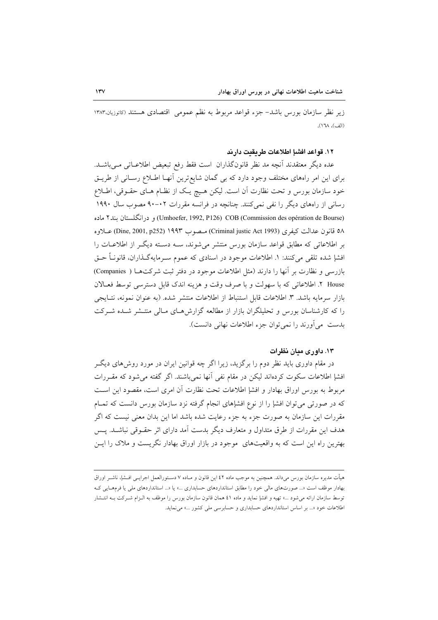زیر نظر سازمان بورس باشد- جزء قواعد مربوط به نظم عمومی اقتصادی هستند (کاتوزیان،۱۳۸۳ (الف)، ١٦٨).

#### ١٢. قواعد افشاٍ اطلاعات طريقيت داريد

عده ديگر معتقدند آنچه مد نظر قانونگذاران است فقط رفع تبعيض اطلاعـاتي مـي!شـد. برای این امر راههای مختلف وجود دارد که بی گمان شایع ترین آنهـا اطـلاع رسـانی از طریــق خود سازمان بورس و تحت نظارت آن است. ليكن هـيچ يـك از نظـام هـاي حقـوقي، اطـلاع رسانی از راههای دیگر را نفی نمی کنند. چنانچه در فرانسه مقررات ۰۲-۹۰ مصوب سال ۱۹۹۰ (Umhoefer, 1992, P126) COB (Commission des opération de Bourse) و در انگلستان بند؟ ماده ٥٨ قانون عدالت كيفري (Criminal justic Act 1993) مـصوب ١٩٩٣ (Dine, 2001, p252) عــلاوه بر اطلاعاتی که مطابق قواعد سازمان بورس منتشر میشوند، سـه دسـته دیگـر از اطلاعـات را افشإ شده تلقی می کنند: ۱. اطلاعات موجود در اسنادی که عموم سـرمایهگـذاران، قانونــاً حــق بازرسی و نظارت بر آنها را دارند (مثل اطلاعات موجود در دفتر ثبت شرکتهــا ( Companies) House ٢. اطلاعاتي كه با سهولت و با صرف وقت و هزينه اندك قابل دسترسي توسط فعـالان بازار سرمايه باشد. ٣. اطلاعات قابل استنباط از اطلاعات منتشر شده. (به عنوان نمونه، نتـايجى را که کارشناسان بورس و تحلیلگران بازار از مطالعه گزارش هـای مـالی منتــشر شــده شــرکت بدست می آورند را نمی توان جزء اطلاعات نهانی دانست).

## ۱۳. داوری میان نظرات

در مقام داوری باید نظر دوم را برگزید، زیرا اگر چه قوانین ایران در مورد روشهای دیگـر افشإ اطلاعات سكوت كردهاند ليكن در مقام نفي آنها نمي باشند. اگر گفته مي شود كه مقـررات مربوط به بورس اوراق بهادار و افشإ اطلاعات تحت نظارت أن امرى است، مقصود اين است که در صورتی می توان افشإ را از نوع افشإهای انجام گرفته نزد سازمان بورس دانست که تمـام مقررات این سازمان به صورت جزء به جزء رعایت شده باشد اما این بدان معنی نیست که اگر هدف این مقررات از طرق متداول و متعارف دیگر بدست آمد دارای اثر حقـوقی نباشـد. پـس بهترین راه این است که به واقعیتهای ً موجود در بازار اوراق بهادار نگریست و ملاک را ایــن

هیأت مدیره سازمان بورس میداند. همچنین به موجب ماده ٤٢ این قانون و مـاده ٧ دســتورالعمل اجرایــی افــشإ، ناشــر اوراق بهادار موظف است «... صورتهای مالی خود را مطابق استانداردهای حسابداری ...» یا «... استانداردهای مل<sub>ی</sub> یا فرمهـایی کـه توسط سازمان ارائه می شود ...» تهیه و افشإ نماید و ماده ٤١ همان قانون سازمان بورس را موظف به الـزام شـركت بـه انتـشار اطلاعات خود «... بر اساس استانداردهای حسابداری و حسابرسی ملی کشور ...» می نماید.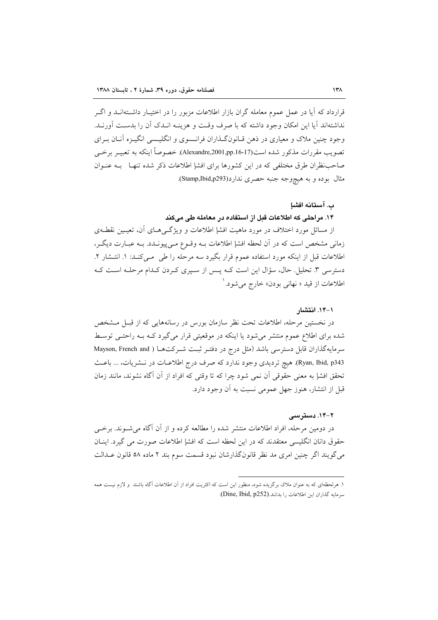قرارداد که آیا در عمل عموم معامله گران بازار اطلاعات مزبور را در اختیــار داشــتهانــد و اگــر نداشتهاند آیا این امکان وجود داشته که با صرف وقت و هزینـه انــدک آن را بدسـت آورنــد. وجود چنین ملاک و معیاری در ذهن قـانونگـذاران فرانـسوی و انگلیـسی انگیـزه آنـان بـرای تصويب مقررات مذكور شده است(17-16.Alexandre,2001,pp.16). خصوصاً اينكه به تعبيـر برخـي صاحب نظران طرق مختلفی که در این کشورها برای افشإ اطلاعات ذکر شده تنها بـه عنـوان مثال بوده و به هیچوجه جنبه حصری ندارد(Stamp,Ibid,p293).

### ب. آستانه افشا

### ۱۴. مراحلی که اطلاعات قبل از استفاده در معامله طی میکند

از مسائل مورد اختلاف در مورد ماهیت افشإ اطلاعات و ویژگهیهای آن، تعیـین نقطـهی زمانی مشخص است که در آن لحظه افشإ اطلاعات بــه وقــوع مــیپیونــدد. بــه عبــارت دیگــر، اطلاعات قبل از اینکه مورد استفاده عموم قرار بگیرد سه مرحله را طی می کنـد: ۱. انتـشار ۲. دسترسی ٣. تحلیل. حال، سؤال این است کـه پـس از سـیری کـردن کـدام مرحلـه اسـت کـه اطلاعات از قيد « نهاني بودن» خارج مي شود. `

#### ۱–۱۴. انتشار

در نخستین مرحله، اطلاعات تحت نظر سازمان بورس در رسانههایی که از قبـل مـشخص شده برای اطلاع عموم منتشر میشود یا اینکه در موقعیتی قرار میگیرد کـه بـه راحتــی توسـط سرمایهگذاران قابل دسترسی باشد (مثل درج در دفتـر ثبـت شـرکتهـا ( Mayson, French and Ryan, Ibid, p343). هيچ ترديدي وجود ندارد كه صرف درج اطلاعـات در نـشريات، ... باعـث تحقق افشإ به معنى حقوقي أن نمي شود چرا كه تا وقتى كه افراد از أن أگاه نشوند، مانند زمان قبل از انتشار، هنوز جهل عمومی نسبت به آن وجود دارد.

#### ۲-۱۴. دسترسی

در دومین مرحله، افراد اطلاعات منتشر شده را مطالعه کرده و از آن آگاه می شـوند. برخـــ حقوق دانان انگلیسی معتقدند که در این لحظه است که افشإ اطلاعات صورت می گیرد. اینـان میگویند اگر چنین امری مد نظر قانونگذارشان نبود قسمت سوم بند ۲ ماده ۵۸ قانون عــدالت

۱. هرلحظهای که به عنوان ملاک برگزیده شود، منظور این است که اکثریت افراد از آن اطلاعات آگاه باشند و لازم نیست همه سرمايه كذاران اين اطلاعات را بدانند.(Dine, Ibid, p252).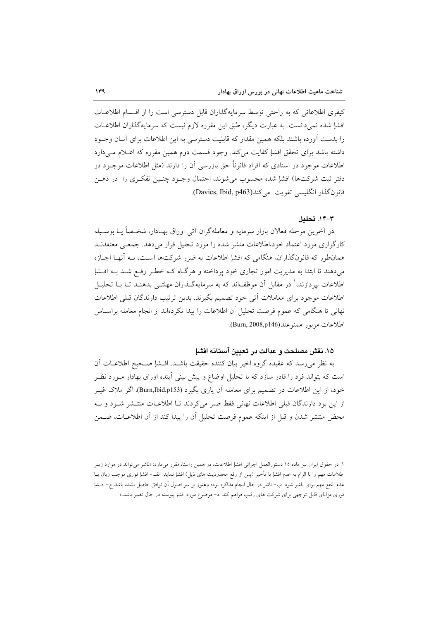کیفری اطلاعاتی که به راحتی توسط سرمایهگذاران قابل دسترسی است را از اقسام اطلاعیات افشا شده نمی دانست. به عبارت دیگر، طبق این مقرره لازم نیست که سرمایهگذاران اطلاعــات را بدست آورده باشند بلکه همین مقدار که قابلیت دسترسی به این اطلاعات برای آنـان وجـود داشته باشد براي تحقق افشإ كفايت مي كند. وجود قسمت دوم همين مقرره كه اعبلام مبي دارد اطلاعات موجود در اسنادی که افراد قانوناً حق بازرسی آن را دارند (مثل اطلاعات موجــود در دفتر ثبت شركتها) افشإ شده محسوب مىشوند، احتمال وجـود چنـين تفكـرى را در ذهـن قانون گذار انگلیسی تقویت می کند(Davies, Ibid, p463).

## ۰۱۴-۳ تحلىل

در آخرین مرحله فعالان بازار سرمایه و معاملهگران آتی اوراق بهـادار، شخـصاً پــا بوســبله کارگزاری مورد اعتماد خود،اطلاعات منشر شده را مورد تحلیل قرار میدهد. جمعـی معتقدنــد همانطور که قانونگذاران، هنگامی که افشإ اطلاعات به ضرر شرکتها است، بـه آنهـا اجــازه می دهند تا ابتدا به مدیریت امور تجاری خود یرداخته و هرگIه کـه خطـر رفـع شـد بـه افـشإ اطلاعات بیردازند،' در مقابل آن موظفاند که به سرمایهگـذاران مهلتـی بدهنـد تـا بــا تحلیــل اطلاعات موجود برای معاملات آتی خود تصمیم بگیرند. بدین ترتیب دارندگان قبلی اطلاعات نهانی تا هنگامی که عموم فرصت تحلیل آن اطلاعات را پیدا نکردهاند از انجام معامله براسـاس اطلاعات مزبور ممنوعند(Burn, 2008,p146).

## ١٥. نقش مصلحت و عدالت در تعيين آستانه افشإ

به نظر مى رسد كه عقيده گروه اخير بيان كننده حقيقت باشـد. افـشإ صـحيح اطلاعـات آن است که بتواند فرد را قادر سازد که با تحلیل اوضاع و پیش بینی آینده اوراق بهادار مـورد نظـر خود، از این اطلاعات در تصمیم برای معامله آن یاری بگیرد (Burn,Ibid,p153). اگر ملاک غیــر از این بود دارندگان قبلی اطلاعات نهانی فقط صبر میکردند تـا اطلاعـات منتـشر شـود و بـه محض منتشر شدن و قبل از اینکه عموم فرصت تحلیل آن را پیدا کند از آن اطلاعـات، ضــمن

١. در حقوق ايران نيز ماده ١٥ دستورالعمل اجرائي افشإ اطلاعات، در همين راستا، مقرر مي،دارد: «ناشر مي تواند در موارد زيــر اطلاعات مهم را با الزام به عدم افشإ با تأخير (پس از رفع محدوديت هاى ذيل) افشإ نمايد: الف– افشإ فورى موجب زيان يــا عدم النفع مهم برای ناشر شود. ب– ناشر در حال انجام مذاکره بوده وهنوز بر سر اصول آن توافق حاصل نشده باشد.ج– افــشإ فوری مزایای قابل توجهی برای شرکت های رقیب فراهم کند .د– موضوع مورد افشإ پیوسته در حال تغییر باشد.»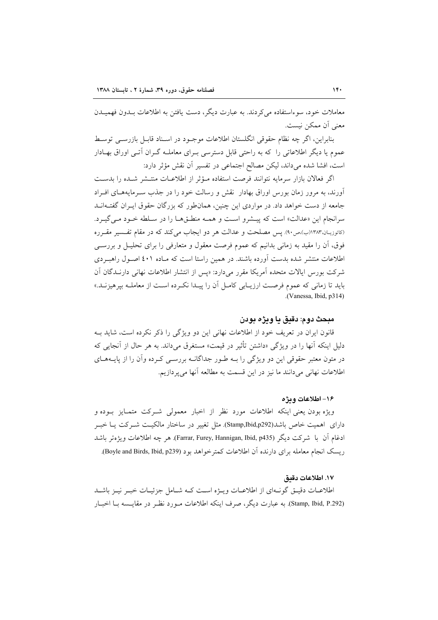معاملات خود، سوءاستفاده می کردند. به عبارت دیگر، دست یافتن به اطلاعات بــدون فهمیــدن معنى أن ممكن نيست.

بنابراين، اگر چه نظام حقوقي انگلستان اطلاعات موجـود در اسـناد قابـل بازرسـي توسـط عموم یا دیگر اطلاعاتی را که به راحتی قابل دسترسی بـرای معاملـه گـران آتـی اوراق بهـادار است، افشا شده میداند، لیکن مصالح اجتماعی در تفسیر آن نقش مؤثر دارد:

اگر فعالان بازار سرمایه نتوانند فرصت استفاده مـؤثر از اطلاعـات منتـشر شـده را بدسـت آورند، به مرور زمان بورس اوراق بهادار نقش و رسالت خود را در جذب سـرمايههـاي افـراد جامعه از دست خواهد داد. در مواردی این چنین، همانطور که بزرگان حقوق ایـران گفتـهانـد سرانجام این «عدالت» است که پیشرو است و همـه منطـقهـا را در سـلطه خـود مـی گیـرد. (کاتوزیان،١٣٨٣(ب)،ص٩٠). پس مصلحت و عدالت هر دو ایجاب می کند که در مقام تفسیر مقرره فوق، أن را مقيد به زماني بدانيم كه عموم فرصت معقول و متعارفي را براي تحليـل و بررســي اطلاعات منتشر شده بدست اورده باشند. در همین راستا است که مـاده ٤٠١ اصـول راهبـردی شرکت بورس ایالات متحده آمریکا مقرر میدارد: «پس از انتشار اطلاعات نهانی دارنـدگان آن باید تا زمانی که عموم فرصت ارزیــابی کامــل آن را پیــدا نکــرده اســت از معاملــه بپرهیزنــد.» (Vanessa, Ibid. p314).

#### ميحث دو ۾: دقيق يا ويڙه پورن

قانون ایران در تعریف خود از اطلاعات نهانی این دو ویژگی را ذکر نکرده است، شاید بـه دلیل اینکه آنها را در ویژگی «داشتن تأثیر در قیمت» مستغرق میداند. به هر حال از آنجایی که در متون معتبر حقوقی این دو ویژگی را بـه طـور جداگانـه بررسـی کـرده وآن را از پایــههـای اطلاعات نهانی میدانند ما نیز در این قسمت به مطالعه آنها میپردازیم.

#### ١۶- اطلاعات و دژه

ویژه بودن یعنی اینکه اطلاعات مورد نظر از اخبار معمولی شـرکت متمـایز بـوده و دارای اهمیت خاص باشد(Stamp,Ibid,p292). مثل تغییر در ساختار مالکیـت شـرکت یـا خبـر ادغام أن با شركت ديگر (Farrar, Furey, Hannigan, Ibid, p435). هر چه اطلاعات ويژهتر باشد ریسک انجام معامله برای دارنده آن اطلاعات کمتر خواهد بود (Boyle and Birds, Ibid, p239).

#### ١٧. اطلاعات دقيق

اطلاعـات دقيـق گونـهاي از اطلاعـات ويــژه اسـت كــه شــامل جزئيـات خبـر نيــز باشــد (Stamp, Ibid, P.292). به عبارت دیگر، صرف اینکه اطلاعات مـورد نظـر در مقایـسه بـا اخبـار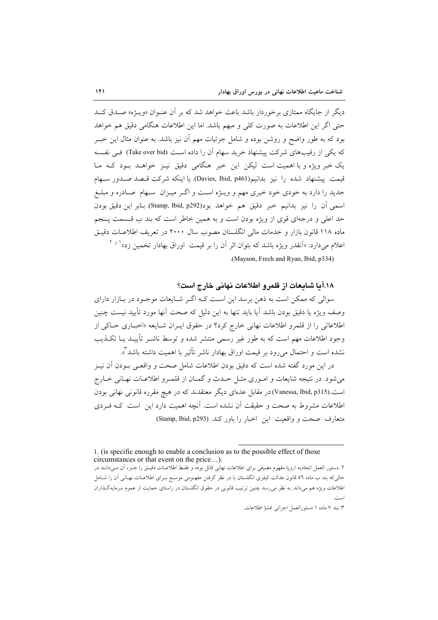دیگر از جایگاه ممتازی برخوردار باشد باعث خواهد شد که بر آن عنـوان «ویــژه» صــدق کنــد حتى اگر اين اطلاعات به صورت كلي و مبهم باشد. اما اين اطلاعات هنگامي دقيق هم خواهد بود که به طور واضح و روشن بوده و شامل جزئیات مهم آن نیز باشد. به عنوان مثال این خبـر که یکی از رقیبهای شرکت پیشنهاد خرید سهام اَن را داده است (Take over bid) فــی نفــسه یک خبر ویژه و با اهمیت است لیکن این خبر هنگامی دقیق نیـز خواهـد بـود کـه مـا قيمت ييشنهاد شده را نيز بدانيم(Davies, Ibid, p461). يا اينكه شركت قبصد صدور سـهام جدید را دارد به خودی خود خبری مهم و ویـژه اسـت و اگـر میـزان سـهام صـادره و مبلـغ اسمي أن را نيز بدانيم خبر دقيق هم خواهد بود(Stamp, Ibid, p292). بنابر اين دقيق بودن حد اعلی و درجهای قوی از ویژه بودن است و به همین خاطر است که بند ب قـسمت پـنجم ماده ۱۱۸ قانون بازار و خدمات مالی انگلستان مصوب سال ۲۰۰۰ در تعریف اطلاعیات دقیتی اعلام میدارد: «اَنقدر ویژه باشد که بتوان اثر اَن را بر قیمت اوراق بهادار تخمین زد»<sup>۱ و ۲</sup> .(Mayson, Frech and Ryan, Ibid, p334)

١٨.آيا شايعات از قلمرو اطلاعات نهاني خارج است؟

سوالي كه ممكن است به ذهن برسد اين است كـه اگـر شـايعات موجـود در بـازار داراي وصف ويژه يا دقيق بودن باشد آيا بايد تنها به اين دليل كه صحت آنها مورد تأييد نيست چنين اطلاعاتی را از قلمرو اطلاعات نهانی خارج کرد؟ در حقوق ایـران شـایعه «اخبـاری حـاکی از وجود اطلاعات مهم است که به طور غیر رسمی منتشر شده و توسط ناشـر تأییــد یــا تکــذیب نشده است و احتمال م<sub>ی</sub>رود بر قیمت اوراق بهادار ناشر تأثیر با اهمیت داشته باشد<sup>۳</sup>».

در این مورد گفته شده است که دقیق بودن اطلاعات شامل صحت و واقعبی بــودن آن نیــز می شود. در نتیجه شایعات و امـوری مثـل حـدث و گمـان از قلمـرو اطلاعـات نهـانی خـارج است.(Vanessa, Ibid, p315) در مقابل عدمای دیگر معتقدند که در هیچ مقرره قانونی نهانی بودن اطلاعات مشروط به صحت و حقیقت آن نشده است. آنچه اهمیت دارد این است کـه فـردی متعارف صحت و واقعیت این اخبار را باور کند. (Stamp, Ibid, p293)

<sup>1. (</sup>is specific enough to enable a conclusion as to the possible effect of those circumstances or that event on the price...).

۲. دستور العمل اتحادیه اروپا مفهوم مضیقی برای اطلاعات نهانی قائل بوده و فقـط اطلاعـات دقیـق را جـزء آن مـیدانــد در حالی که بند ب ماده ٥٦ قانون عدالت کیفری انگلستان با در نظر گرفتن مفهـومی موسـع بــرای اطلاعــات نهــانی اَن را شــامل اطلاعات ویژه هم میداند. به نظر می رسد چنین ترتیب قانونی در حقوق انگلستان در راستای حمایت از عموم سرمایهگذاران است.

٣. بند ٧ ماده ١ دستورالعمل اجرائي افشإ اطلاعات.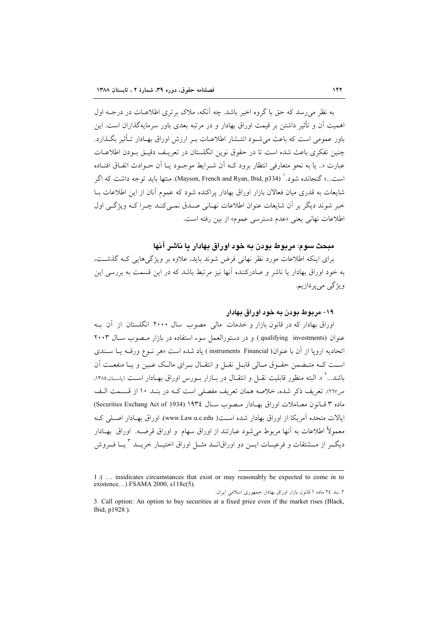په نظر مي رسد كه حق يا گروه اخير پاشد. چه آنكه، ملاك پرتري اطلاعيات در درجيه اول اهمیت آن و تأثیر داشتن بر قیمت اوراق بهادار و در مرتبه بعدی باور سرمایهگذاران است. این باور عمومی است که باعث می شـود انتــشار اطلاعـات بـر ارزش اوراق بهـادار تــأثیر بگــذارد. چنین تفکری باعث شده است تا در حقوق نوین انگلستان در تعریـف دقیـق بـودن اطلاعـات عبارت «.. يا به نحوٍ متعارفي انتظار برود كـه أن شـرايط موجـود يــا أن حــوادث اتفــاق افتــاده است...» گنجانده شود.` (Mayson, French and Ryan, Ibid, p334). منتها باید توجه داشت که اگر شایعات به قدری میان فعالان بازار اوراق بهادار پراکنده شود که عموم آنان از این اطلاعات بــا خبر شوند دیگر بر آن شایعات عنوان اطلاعات نهـانی صـدق نمـی کنـد چـرا کـه ویژگـی اول اطلاعات نهاني يعني «عدم دسترسي عموم» از بين رفته است.

ميحث سوم: مربوط يو دن په خود او راق پهادار يا ناشر آنها

برای اینکه اطلاعات مورد نظر نهانی فرض شوند باید، علاوه بر ویژگیهایی کـه گذشـت، به خود اوراق بهادار یا ناشر و صادرکننده آنها نیز مرتبط باشد که در این قسمت به بررسی این ويژگى مىپردازيم.

### ۱۹– مر يوط يو دن په خو د او راق پهادار

اوراق بهادار که در قانون بازار و خدمات مالی مصوب سال ۲۰۰۰ انگلستان از آن بـه عنوان (qualifying investments) و در دستورالعمل سوء استفاده در بازار مصوب سال ۲۰۰۳ اتحادیه اروپا از آن با عنوان( instruments Financial ) یاد شده است «هر نـوع ورقــه یــا ســندی اسـت كــه متــضمن حقــوق مــالى قابــل نقــل و انتقــال بــراي مالــك عــين و يــا منفعــت آن باشد...<sup>۲</sup> ». البته منظور قابلیت نقبل و انتقبال در بیازار بیورس اوراق بهبادار است (پاسبان،۱۳۸۵، ص٢٦٧). تعریف ذکر شده، خلاصه همان تعریف مفصلی است کـه در بنـد ١٠ از قـسمت الـف ماده ۳ قبانون معباملات اوراق بهبادار مبصوب سبال ۱۹۳٤ (Securities Exchang Act of 1934) ايالات متحده آمريكا از اوراق بهادار شده است( www.Law.u.c.edu). اوراق بهـادار اصـلي كـه معمولاً اطلاعات به آنها مربوط می شود عبارتند از اوراق سهام و اوراق قرضـه. اوراق بهـادار دیگــر از مـــشتقات و فرعیــات ایـــن دو اوراقانـــد مثــل اوراق اختیــار خریـــد <sup>۳</sup> یــا فـــروش

٢. بند ٢٤ ماده ١ قانون بازار اوراق بهادار جمهورى اسلامى ايران.

<sup>1. (...</sup> insidicates circumstances that exist or may reasonably be expected to come in to existence...) FSAMA 2000, s118c(5).

<sup>3.</sup> Call option: An option to buy securities at a fixed price even if the market rises (Black, Ibid, p1928).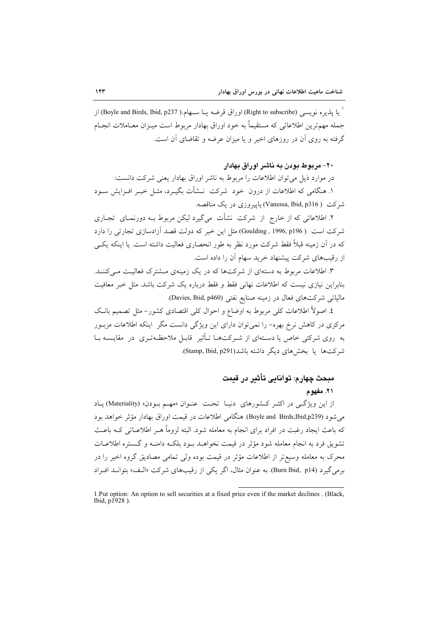` يا يذيره نويسي (Right to subscribe) اوراق قرضه يــا ســهام.( Boyle and Birds, Ibid, p237) از جمله مهمترين اطلاعاتي كه مستقيماً به خود اوراق بهادار مربوط است ميـزان معــاملات انجــام گرفته به روی آن در روزهای اخیر و یا میزان عرضه و تقاضای آن است.

## ۲۰ – مربوط بودن به ناشر اوراق بهادار

در موارد ذیل می توان اطلاعات را مربوط به ناشر اوراق بهادار یعنی شرکت دانست: ١. هنگامی که اطلاعات از درون خود شرکت نــشأت بگیــرد، مثــل خبــر افــزایش ســود شركت ( Vanessa, Ibid, p316) ياييروزي در يک مناقصه.

۲. اطلاعاتی که از خارج از شرکت نشأت میگیرد لیکن مربوط بـه دورنمـای تجـاری شرکت است ( Goulding , 1996, p196) مثل این خبر که دولت قصد آزادسازی تجارتی را دارد که در آن زمینه قبلاً فقط شرکت مورد نظر به طور انحصاری فعالیت داشته است. یا اینکه یکسی از رقیبهای شرکت پیشنهاد خرید سهام آن را داده است.

۳. اطلاعات مربوط به دستهای از شرکتها که در یک زمینهی مــشترک فعالیـت مــی کننــد. بنابراین نیازی نیست که اطلاعات نهانی فقط و فقط درباره یک شرکت باشد. مثل خبر معافیت مالياتي شركتهاي فعال در زمينه صنايع نفتي (Davies, Ibid, p460).

٤. اصولاً اطلاعات كلي مربوط به اوضاع و احوال كلي اقتصادي كشور– مثل تصميم بانــک مرکزی در کاهش نرخ بهره- را نمی توان دارای این ویژگی دانست مگر اینکه اطلاعات مزبـور به روی شرکتی خاص یا دسـتهای از شـرکت۱هـا تـأثیر قابـل ملاحظـهتـری در مقایــسه بـا شركتها يا بخشهاي ديگر داشته باشد(Stamp, Ibid, p291).

## مبحث چهارم: توانایی تأثیر در قیمت ۲۱. مغهو م

از این ویژگی در اکثر کشورهای دنیا تحت عنوان «مهم بودن» (Materiality) یاد می شود (Boyle and Birds,Ibid,p239). هنگامی اطلاعات در قیمت اوراق بهادار مؤثر خواهد بود که باعث ایجاد رغبت در افراد برای انجام به معامله شود. البته لزوماً هــر اطلاعــاتـی کــه باعــث تشويق فرد به انجام معامله شود مؤثر در قيمت نخواهـد بـود بلكـه دامنـه و گـستره اطلاعـات محرک به معامله وسیع تر از اطلاعات مؤثر در قیمت بوده ولی تمامی مصادیق گروه اخیر را در برمي گيرد (Burn Ibid, p14). به عنوان مثال، اگر يكي از رقيبهاي شركت «الـف» بتوانــد افــراد

<sup>1.</sup> Put option: An option to sell securities at a fixed price even if the market declines . (Black, Ibid,  $p1928$ ).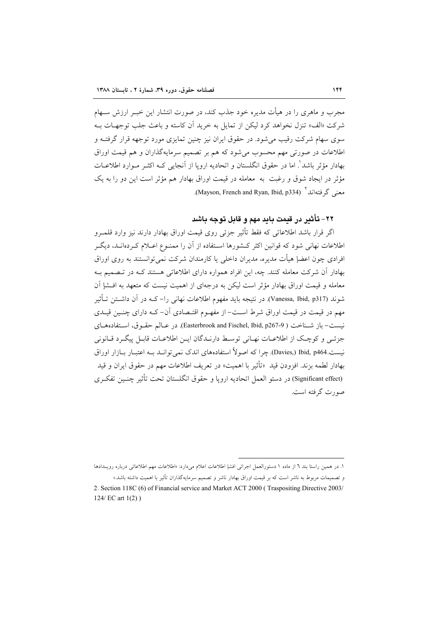مجرب و ماهری را در هیأت مدیره خود جذب کند، در صورت انتشار این خبـر ارزش سـهام شركت «الف» تنزل نخواهد كرد ليكن از تمايل به خريد أن كاسته و باعث جلب توجهـات بـه سوی سهام شرکت رقیب می شود. در حقوق ایران نیز چنین تمایزی مورد توجهه قرار گرفتـه و اطلاعات در صورتی مهم محسوب می شود که هم بر تصمیم سرمایهگذاران و هم قیمت اوراق بهادار مؤثر باشد'. اما در حقوق انگلستان و اتحادیه اروپا از آنجایی کـه اکثـر مـوارد اطلاعــات مؤثر در ایجاد شوق و رغبت به معامله در قیمت اوراق بهادار هم مؤثر است این دو را به یک معنی گے فتهاند " (Mayson, French and Ryan, Ibid, p334).

## ٢٢– تأثير در قيمت بايد مهم و قابل توجه باشد

اگر قرار باشد اطلاعاتی که فقط تأثیر جزئی روی قیمت اوراق بهادار دارند نیز وارد قلمـرو اطلاعات نهانی شود که قوانین اکثر کـشورها اسـتفاده از آن را ممنــوع اعــلام کــردهانــد، دیگــر افرادی چون اعضإ هیأت مدیره، مدیران داخلی یا کارمندان شرکت نمی توانستند به روی اوراق بهادار آن شرکت معامله کنند. چه، این افراد همواره دارای اطلاعاتی هستند کـه در تـصمیم بـه معامله و قیمت اوراق بهادار مؤثر است لیکن به درجهای از اهمیت نیست که متعهد به افسها آن شوند (Vanessa, Ibid, p317). در نتيجه بايد مفهوم اطلاعات نهاني را– كــه در آن داشــتن تــأثير مهم در قیمت در قیمت اوراق شرط اسـت- از مفهـوم اقتـصادی آن- کـه دارای چنـین قیـدی نيست- باز شـناخت ( Easterbrook and Fischel, Ibid, p267-9). در عـالم حقـوق، اسـتفادههـاي جزئـي و كوچـك از اطلاعـات نهـاني توسـط دارنـدگان ايـن اطلاعـات قابـل پيگـرد قـانوني نیست.Davies,) Ibid, p464). چرا که اصولاً استفادههای اندک نمی توانـد بـه اعتبـار بــازار اوراق بهادار لطمه بزند. افزودن قيد «تأثير با اهميت» در تعريف اطلاعات مهم در حقوق ايران و قيد (Significant effect) در دستو العمل اتحاديه ارويا و حقوق انگلستان تحت تأثير چنبين تفكري صورت گرفته است.

١. در همين راستا بند ٦ از ماده ١ دستورالعمل اجرائي افشإ اطلاعات اعلام ميدارد: «اطلاعات مهم اطلاعاتي درباره رويـدادها و تصمیمات مربوط به ناشر است که بر قیمت اوراق بهادار ناشر و تصمیم سرمایهگذاران تأثیر با اهمیت داشته باشد.»

<sup>2.</sup> Section 118C (6) of Financial service and Market ACT 2000 (Traspositing Directive 2003/  $124/$  EC art  $1(2)$ )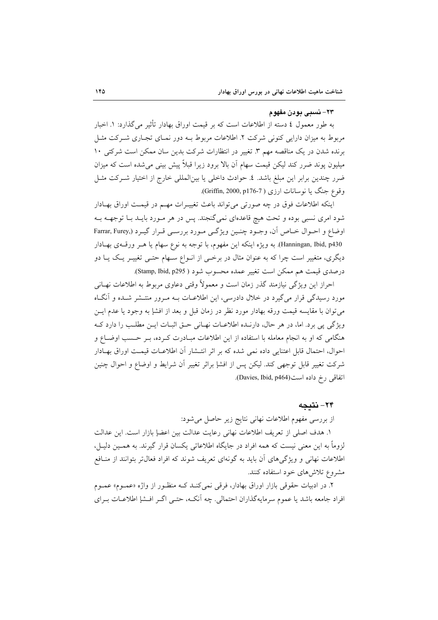#### ٢٣– نسبي يودن مفهوم

به طور معمول ٤ دسته از اطلاعات است كه بر قيمت اوراق بهادار تأثير مي گذارد: ١. اخبار مربوط به میزان دارایی کنونی شرکت ۲. اطلاعات مربوط بـه دور نمـای تجـاری شـرکت مثـل برنده شدن در یک مناقصه مهم ۳. تغییر در انتظارات شرکت بدین سان ممکن است شرکتی ۱۰ میلیون پوند ضرر کند لیکن قیمت سهام آن بالا برود زیرا قبلاً پیش بینی می شده است که میزان ضرر چندین برابر این مبلغ باشد. ٤. حوادث داخلی یا بین|لمللی خارج از اختیار شــرکت مثــل وقوع جنگ يا نوسانات ارزي ( Griffin, 2000, p176-7).

اينكه اطلاعات فوق در چه صورتي مي تواند باعث تغييـرات مهـم در قيمـت اوراق بهـادار شود امری نسبی بوده و تحت هیچ قاعدهای نمی گنجند. پس در هر مـورد بایــد بــا توجهــه بــه اوضاع و احـوال خـاص آن، وجـود چنـین ویژگـی مـورد بررسـی قـرار گیـرد (Farrar, Furey, Hanningan, Ibid, p430). به ويژه اينكه اين مفهوم، با توجه به نوع سهام يا هـر ورقـهى بهـادار دیگری، متغییر است چرا که به عنوان مثال در برخـی از انــواع ســهام حتــی تغییــر یــک یــا دو درصدي قيمت هم ممكن است تغيير عمده محسوب شود ( Stamp, Ibid, p295).

احراز این ویژگی نیازمند گذر زمان است و معمولاً وقتی دعاوی مربوط به اطلاعات نهـانی مورد رسیدگی قرار میگیرد در خلال دادرسی، این اطلاعـات بـه مـرور منتـشر شـده و آنگـاه مي توان با مقايسه قيمت ورقه بهادار مورد نظر در زمان قبل و بعد از افشإ به وجود يا عدم ايـــز ویژگی پی برد. اما، در هر حال، دارنـده اطلاعـات نهـانی حـق اثبـات ایـن مطلـب را دارد کـه هنگامی که او به انجام معامله با استفاده از این اطلاعات مبـادرت کـرده، بـر حـسب اوضــاع و احوال، احتمال قابل اعتنایی داده نمی شده که بر اثر انتـشار آن اطلاعـات قیمـت اوراق بهـادار شرکت تغییر قابل توجهی کند. لیکن پس از افشإ براثر تغییر آن شرایط و اوضاع و احوال چنین اتفاقی رخ داده است(Davies, Ibid, p464).

#### ۲۴– نتىجە

از بررسی مفهوم اطلاعات نهانی نتایج زیر حاصل می شود:

١. هدف اصلي از تعريف اطلاعات نهاني رعايت عدالت بين اعضإ بازار است. اين عدالت لزوماً به این معنی نیست که همه افراد در جایگاه اطلاعاتی یکسان قرار گیرند. به همـین دلیـل، اطلاعات نهانی و ویژگیهای آن باید به گونهای تعریف شوند که افراد فعالتر بتوانند از منـافع مشروع تلاش های خود استفاده کنند.

۲. در ادبیات حقوقی بازار اوراق بهادار، فرقی نمی کنـد کـه منظـور از واژه «عمـوم» عمـوم افراد جامعه باشد يا عموم سرمايهگذاران احتمالي. چه آنکـه، حتـي اگـر افـشإ اطلاعــات بـراي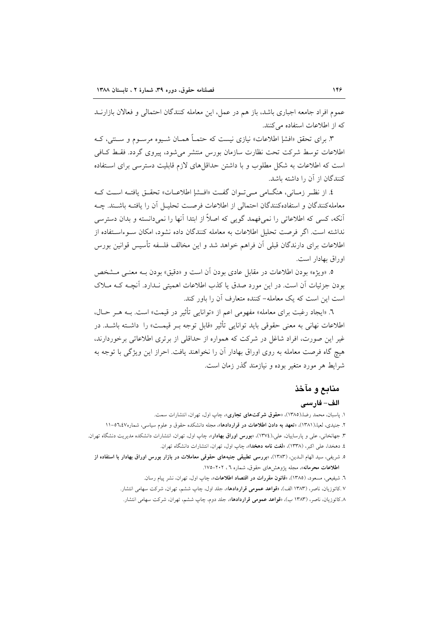عموم افراد جامعه اجباري باشد، باز هم در عمل، اين معامله كنندگان احتمالي و فعالان بازارنــد که از اطلاعات استفاده می کنند.

۳. برای تحقق «افشإ اطلاعات» نیازی نیست که حتمـاً همـان شـیوه مرسـوم و سـنتم ، کـه اطلاعات توسط شرکت تحت نظارت سازمان بورس منتشر می شود، پیروی گردد. فقـط کــافی است که اطلاعات به شکل مطلوب و با داشتن حداقل های لازم قابلیت دسترسی برای استفاده کنندگان از آن را داشته باشد.

٤. از نظـر زمـاني، هنگــامي مــيتـوان گفـت «افــشإ اطلاعــات» تحقــق يافتــه اســت كــه معاملهكنندگان و استفادهكنندگان احتمالي از اطلاعات فرصت تحليـل آن را يافتـه باشـند. چــه اّنکه، کسی که اطلاعاتی را نمیفهمد گویی که اصلاً از ابتدا اّنها را نمیدانسته و بدان دسترسی نداشته است. اگر فرصت تحلیل اطلاعات به معامله کنندگان داده نشود، امکان سـوءاسـتفاده از اطلاعات برای دارندگان قبلی آن فراهم خواهد شد و این مخالف فلسفه تأسیس قوانین بورس اوراق بهادار است.

٥. «ويژه» بودن اطلاعات در مقابل عادي بودن آن است و «دقيق» بودن بـه معنـي مـشخص بودن جزئیات آن است. در این مورد صدق یا کذب اطلاعات اهمیتی نـدارد. آنچــه کــه مــلاک است این است که یک معامله– کننده متعارف آن را باور کند.

٦. «ايجاد رغبت براي معامله» مفهومي اعم از «توانايي تأثير در قيمت» است. بـه هــر حــال، اطلاعات نهان<sub>ی</sub> به معنی حقوقی باید توانایی تأثیر «قابل توجه بــر قیمــت» را داشــته باشــد. در غیر این صورت، افراد شاغل در شرکت که همواره از حداقلی از برتری اطلاعاتی برخوردارند، هیچ گاه فرصت معامله به روی اوراق بهادار آن را نخواهند یافت. احراز این ویژگی با توجه به شرایط هر مورد متغیر بوده و نیازمند گذر زمان است.

### منابع و مآخذ

#### الف- فارسى

۱. پاسبان، محمد رضا،(۱۳۸۵)، «<mark>حقوق شرکتهای تجاری</mark>»، چاپ اول، تهران، انتشارات سمت.

۲. جنیدی، لعیا،(۱۳۸۱)، «**تعهد به دادن اطلاعات در قراردادها**»، مجله دانشکده حقوق و علوم سیاسی، شماره ۲،٤٧ه-۱۱

۳. جهانخانی، علی و پارساییان، علی،(۱۳۷٤)، «بورس اوراق بهادار»، چاپ اول، تهران، انتشارات دانشکده مدیریت دنشگاه تهران. ٤. دهخدا، على اكبر، (١٣٣٨)، «لغت نامه دهخدا»، چاپ اول، تهران، انتشارات دانشگاه تهران.

٥. شریفی، سید الهام البدین، (١٣٨٣)، «بررسی تطبیقی جنبههای حقوقی معاملات در بازار بورس اوراق بهادار با استفاده از اطلاعات محرمانه»، مجله یژوهشهای حقوق، شماره ٦ ، ٢٠٢-١٧٥.

٦. شیفیعی، مسعود، (١٣٨٥)، «قا<mark>نون مقررات در اقتصاد اطلاعات</mark>»، چاپ اول، تهران، نشر پیام رسان<sub>.</sub>

۷ .کاتوزیان، ناصر، (۱۳۸۳ الف)، «قواعد عمومی قراردادها»، جلد اول، چاپ ششم، تهران، شرکت سهامی انتشار.

۸.کاتوزیان، ناصر، (۱۳۸۳ ب)، «قواعد عمومی قراردادها»، جلد دوم، چاپ ششم، تهران، شرکت سهامی انتشار.